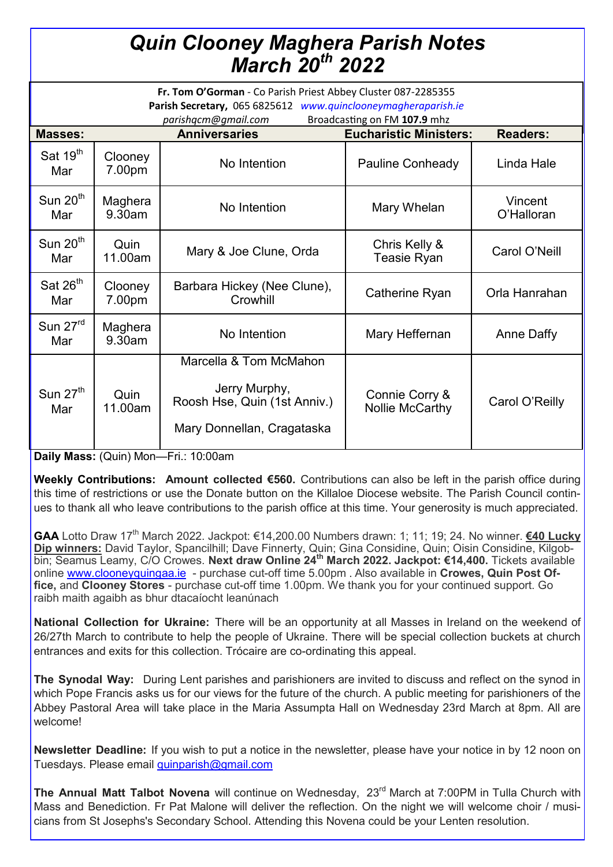## *Quin Clooney Maghera Parish Notes March 20th 2022*

| Fr. Tom O'Gorman - Co Parish Priest Abbey Cluster 087-2285355<br>Parish Secretary, 065 6825612 www.quinclooneymagheraparish.ie |                   |                                                                                                       |                                          |                       |
|--------------------------------------------------------------------------------------------------------------------------------|-------------------|-------------------------------------------------------------------------------------------------------|------------------------------------------|-----------------------|
| Broadcasting on FM 107.9 mhz<br>parishqcm@gmail.com                                                                            |                   |                                                                                                       |                                          |                       |
| <b>Masses:</b>                                                                                                                 |                   | <b>Anniversaries</b>                                                                                  | <b>Eucharistic Ministers:</b>            | <b>Readers:</b>       |
| Sat 19 <sup>th</sup><br>Mar                                                                                                    | Clooney<br>7.00pm | No Intention                                                                                          | Pauline Conheady                         | Linda Hale            |
| Sun 20 <sup>th</sup><br>Mar                                                                                                    | Maghera<br>9.30am | No Intention                                                                                          | Mary Whelan                              | Vincent<br>O'Halloran |
| Sun $20th$<br>Mar                                                                                                              | Quin<br>11.00am   | Mary & Joe Clune, Orda                                                                                | Chris Kelly &<br><b>Teasie Ryan</b>      | Carol O'Neill         |
| Sat $26th$<br>Mar                                                                                                              | Clooney<br>7.00pm | Barbara Hickey (Nee Clune),<br>Crowhill                                                               | Catherine Ryan                           | Orla Hanrahan         |
| Sun 27rd<br>Mar                                                                                                                | Maghera<br>9.30am | No Intention                                                                                          | Mary Heffernan                           | Anne Daffy            |
| Sun $27th$<br>Mar                                                                                                              | Quin<br>11.00am   | Marcella & Tom McMahon<br>Jerry Murphy,<br>Roosh Hse, Quin (1st Anniv.)<br>Mary Donnellan, Cragataska | Connie Corry &<br><b>Nollie McCarthy</b> | Carol O'Reilly        |

**Daily Mass:** (Quin) Mon—Fri.: 10:00am

**Weekly Contributions: Amount collected €560.** Contributions can also be left in the parish office during this time of restrictions or use the Donate button on the Killaloe Diocese website. The Parish Council continues to thank all who leave contributions to the parish office at this time. Your generosity is much appreciated.

GAA Lotto Draw 17<sup>th</sup> March 2022. Jackpot: €14,200.00 Numbers drawn: 1; 11; 19; 24. No winner. **€40 Lucky Dip winners:** David Taylor, Spancilhill; Dave Finnerty, Quin; Gina Considine, Quin; Oisin Considine, Kilgobbin; Seamus Leamy, C/O Crowes. **Next draw Online 24th March 2022. Jackpot: €14,400.** Tickets available online [www.clooneyquingaa.ie](http://www.clooneyquingaa.ie/) - purchase cut-off time 5.00pm . Also available in **Crowes, Quin Post Office,** and **Clooney Stores** - purchase cut-off time 1.00pm. We thank you for your continued support. Go raibh maith agaibh as bhur dtacaíocht leanúnach

**National Collection for Ukraine:** There will be an opportunity at all Masses in Ireland on the weekend of 26/27th March to contribute to help the people of Ukraine. There will be special collection buckets at church entrances and exits for this collection. Trócaire are co-ordinating this appeal.

**The Synodal Way:** During Lent parishes and parishioners are invited to discuss and reflect on the synod in which Pope Francis asks us for our views for the future of the church. A public meeting for parishioners of the Abbey Pastoral Area will take place in the Maria Assumpta Hall on Wednesday 23rd March at 8pm. All are welcome!

**Newsletter Deadline:** If you wish to put a notice in the newsletter, please have your notice in by 12 noon on Tuesdays. Please email [quinparish@gmail.com](mailto:quinparish@gmail.com)

**The Annual Matt Talbot Novena** will continue on Wednesday, 23<sup>rd</sup> March at 7:00PM in Tulla Church with Mass and Benediction. Fr Pat Malone will deliver the reflection. On the night we will welcome choir / musicians from St Josephs's Secondary School. Attending this Novena could be your Lenten resolution.